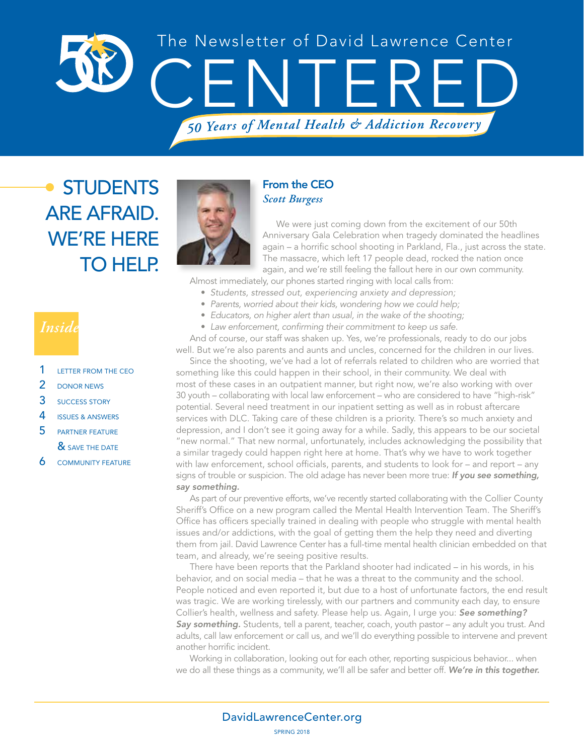

# **STUDENTS** ARE AFRAID. WE'RE HERE TO HELP.

## *Inside*

- 1 LETTER FROM THE CEO
- 2 DONOR NEWS
- 3 SUCCESS STORY
- 4 ISSUES & ANSWERS
- 5 PARTNER FEATURE & SAVE THE DATE
- **6** COMMUNITY FEATURE



### From the CEO *Scott Burgess*

We were just coming down from the excitement of our 50th Anniversary Gala Celebration when tragedy dominated the headlines again – a horrific school shooting in Parkland, Fla., just across the state. The massacre, which left 17 people dead, rocked the nation once again, and we're still feeling the fallout here in our own community.

Almost immediately, our phones started ringing with local calls from:

- *Students, stressed out, experiencing anxiety and depression;*
	- *Parents, worried about their kids, wondering how we could help;*
- *Educators, on higher alert than usual, in the wake of the shooting;*
- *Law enforcement, confirming their commitment to keep us safe.*

And of course, our staff was shaken up. Yes, we're professionals, ready to do our jobs well. But we're also parents and aunts and uncles, concerned for the children in our lives.

Since the shooting, we've had a lot of referrals related to children who are worried that something like this could happen in their school, in their community. We deal with most of these cases in an outpatient manner, but right now, we're also working with over 30 youth – collaborating with local law enforcement – who are considered to have "high-risk" potential. Several need treatment in our inpatient setting as well as in robust aftercare services with DLC. Taking care of these children is a priority. There's so much anxiety and depression, and I don't see it going away for a while. Sadly, this appears to be our societal "new normal." That new normal, unfortunately, includes acknowledging the possibility that a similar tragedy could happen right here at home. That's why we have to work together with law enforcement, school officials, parents, and students to look for – and report – any signs of trouble or suspicion. The old adage has never been more true: *If you see something, say something.* 

As part of our preventive efforts, we've recently started collaborating with the Collier County Sheriff's Office on a new program called the Mental Health Intervention Team. The Sheriff's Office has officers specially trained in dealing with people who struggle with mental health issues and/or addictions, with the goal of getting them the help they need and diverting them from jail. David Lawrence Center has a full-time mental health clinician embedded on that team, and already, we're seeing positive results.

There have been reports that the Parkland shooter had indicated – in his words, in his behavior, and on social media – that he was a threat to the community and the school. People noticed and even reported it, but due to a host of unfortunate factors, the end result was tragic. We are working tirelessly, with our partners and community each day, to ensure Collier's health, wellness and safety. Please help us. Again, I urge you: *See something? Say something.* Students, tell a parent, teacher, coach, youth pastor – any adult you trust. And adults, call law enforcement or call us, and we'll do everything possible to intervene and prevent another horrific incident.

Working in collaboration, looking out for each other, reporting suspicious behavior... when we do all these things as a community, we'll all be safer and better off. *We're in this together.*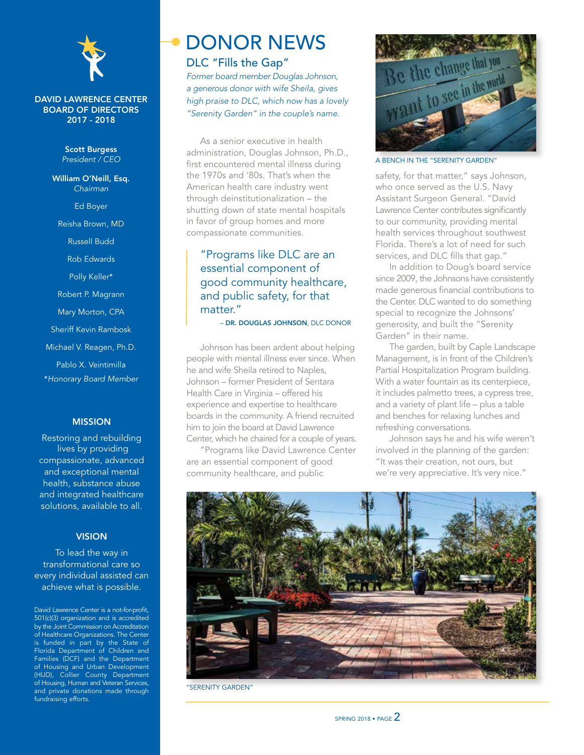

#### DAVID LAWRENCE CENTER BOARD OF DIRECTORS 2017 - 2018

Scott Burgess *President / CEO*

William O'Neill, Esq. *Chairman* Ed Boyer Reisha Brown, MD Russell Budd Rob Edwards Polly Keller\* Robert P. Magrann Mary Morton, CPA Sheriff Kevin Rambosk Michael V. Reagen, Ph.D. Pablo X. Veintimilla \**Honorary Board Member*

### MISSION

Restoring and rebuilding lives by providing compassionate, advanced and exceptional mental health, substance abuse and integrated healthcare solutions, available to all.

#### **VISION**

To lead the way in transformational care so every individual assisted can achieve what is possible.

David Lawrence Center is a not-for-profit, 501(c)(3) organization and is accredited by the Joint Commission on Accreditation of Healthcare Organizations. The Center is funded in part by the State of Florida Department of Children and Families (DCF) and the Department of Housing and Urban Development (HUD), Collier County Department of Housing, Human and Veteran Services, and private donations made through fundraising efforts.

## DONOR NEWS DLC "Fills the Gap"

*Former board member Douglas Johnson, a generous donor with wife Sheila, gives high praise to DLC, which now has a lovely "Serenity Garden" in the couple's name.*

As a senior executive in health administration, Douglas Johnson, Ph.D., first encountered mental illness during the 1970s and '80s. That's when the American health care industry went through deinstitutionalization – the shutting down of state mental hospitals in favor of group homes and more compassionate communities.

### "Programs like DLC are an essential component of good community healthcare, and public safety, for that matter."

– DR. DOUGLAS JOHNSON, DLC DONOR

Johnson has been ardent about helping people with mental illness ever since. When he and wife Sheila retired to Naples, Johnson – former President of Sentara Health Care in Virginia – offered his experience and expertise to healthcare boards in the community. A friend recruited him to join the board at David Lawrence Center, which he chaired for a couple of years.

"Programs like David Lawrence Center are an essential component of good community healthcare, and public



A BENCH IN THE "SERENITY GARDEN"

safety, for that matter," says Johnson, who once served as the U.S. Navy Assistant Surgeon General. "David Lawrence Center contributes significantly to our community, providing mental health services throughout southwest Florida. There's a lot of need for such services, and DLC fills that gap."

In addition to Doug's board service since 2009, the Johnsons have consistently made generous financial contributions to the Center. DLC wanted to do something special to recognize the Johnsons' generosity, and built the "Serenity Garden" in their name.

The garden, built by Caple Landscape Management, is in front of the Children's Partial Hospitalization Program building. With a water fountain as its centerpiece, it includes palmetto trees, a cypress tree, and a variety of plant life – plus a table and benches for relaxing lunches and refreshing conversations.

Johnson says he and his wife weren't involved in the planning of the garden: "It was their creation, not ours, but we're very appreciative. It's very nice."



"SERENITY GARDEN"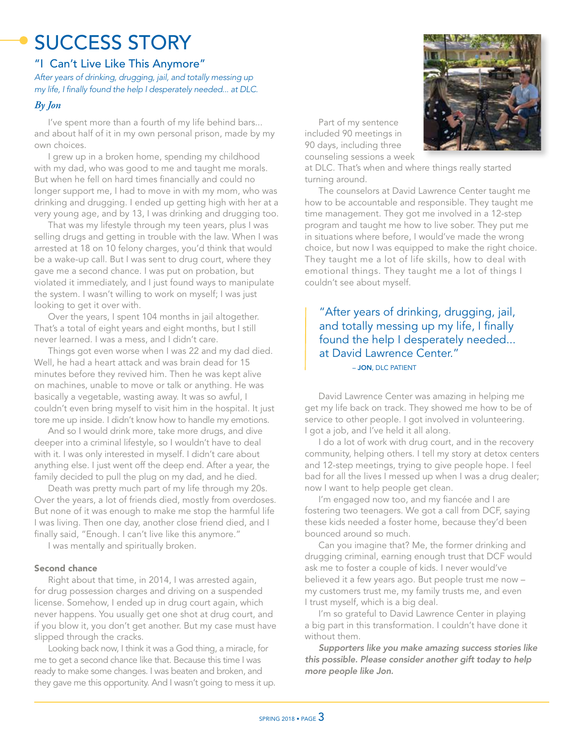# SUCCESS STORY

### "I Can't Live Like This Anymore"

*After years of drinking, drugging, jail, and totally messing up my life, I finally found the help I desperately needed... at DLC.*

### *By Jon*

I've spent more than a fourth of my life behind bars... and about half of it in my own personal prison, made by my own choices.

I grew up in a broken home, spending my childhood with my dad, who was good to me and taught me morals. But when he fell on hard times financially and could no longer support me, I had to move in with my mom, who was drinking and drugging. I ended up getting high with her at a very young age, and by 13, I was drinking and drugging too.

That was my lifestyle through my teen years, plus I was selling drugs and getting in trouble with the law. When I was arrested at 18 on 10 felony charges, you'd think that would be a wake-up call. But I was sent to drug court, where they gave me a second chance. I was put on probation, but violated it immediately, and I just found ways to manipulate the system. I wasn't willing to work on myself; I was just looking to get it over with.

Over the years, I spent 104 months in jail altogether. That's a total of eight years and eight months, but I still never learned. I was a mess, and I didn't care.

Things got even worse when I was 22 and my dad died. Well, he had a heart attack and was brain dead for 15 minutes before they revived him. Then he was kept alive on machines, unable to move or talk or anything. He was basically a vegetable, wasting away. It was so awful, I couldn't even bring myself to visit him in the hospital. It just tore me up inside. I didn't know how to handle my emotions.

And so I would drink more, take more drugs, and dive deeper into a criminal lifestyle, so I wouldn't have to deal with it. I was only interested in myself. I didn't care about anything else. I just went off the deep end. After a year, the family decided to pull the plug on my dad, and he died.

Death was pretty much part of my life through my 20s. Over the years, a lot of friends died, mostly from overdoses. But none of it was enough to make me stop the harmful life I was living. Then one day, another close friend died, and I finally said, "Enough. I can't live like this anymore."

I was mentally and spiritually broken.

#### Second chance

Right about that time, in 2014, I was arrested again, for drug possession charges and driving on a suspended license. Somehow, I ended up in drug court again, which never happens. You usually get one shot at drug court, and if you blow it, you don't get another. But my case must have slipped through the cracks.

Looking back now, I think it was a God thing, a miracle, for me to get a second chance like that. Because this time I was ready to make some changes. I was beaten and broken, and they gave me this opportunity. And I wasn't going to mess it up.

Part of my sentence included 90 meetings in 90 days, including three counseling sessions a week



at DLC. That's when and where things really started turning around.

The counselors at David Lawrence Center taught me how to be accountable and responsible. They taught me time management. They got me involved in a 12-step program and taught me how to live sober. They put me in situations where before, I would've made the wrong choice, but now I was equipped to make the right choice. They taught me a lot of life skills, how to deal with emotional things. They taught me a lot of things I couldn't see about myself.

 – JON, DLC PATIENT "After years of drinking, drugging, jail, and totally messing up my life, I finally found the help I desperately needed... at David Lawrence Center."

David Lawrence Center was amazing in helping me get my life back on track. They showed me how to be of service to other people. I got involved in volunteering. I got a job, and I've held it all along.

I do a lot of work with drug court, and in the recovery community, helping others. I tell my story at detox centers and 12-step meetings, trying to give people hope. I feel bad for all the lives I messed up when I was a drug dealer; now I want to help people get clean.

I'm engaged now too, and my fiancée and I are fostering two teenagers. We got a call from DCF, saying these kids needed a foster home, because they'd been bounced around so much.

Can you imagine that? Me, the former drinking and drugging criminal, earning enough trust that DCF would ask me to foster a couple of kids. I never would've believed it a few years ago. But people trust me now – my customers trust me, my family trusts me, and even I trust myself, which is a big deal.

I'm so grateful to David Lawrence Center in playing a big part in this transformation. I couldn't have done it without them.

*Supporters like you make amazing success stories like this possible. Please consider another gift today to help more people like Jon.*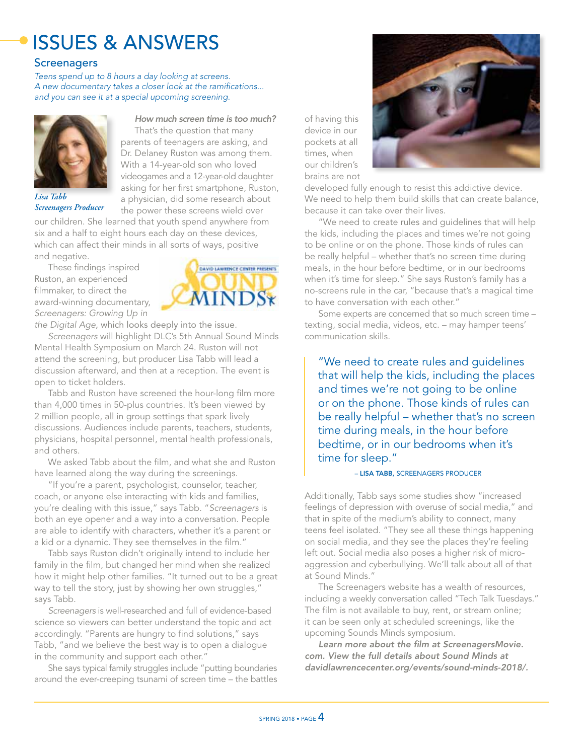# ISSUES & ANSWERS

### **Screenagers**

*Teens spend up to 8 hours a day looking at screens. A new documentary takes a closer look at the ramifications... and you can see it at a special upcoming screening.*



*Lisa Tabb Screenagers Producer*

*How much screen time is too much?* That's the question that many parents of teenagers are asking, and Dr. Delaney Ruston was among them. With a 14-year-old son who loved videogames and a 12-year-old daughter asking for her first smartphone, Ruston, a physician, did some research about the power these screens wield over

our children. She learned that youth spend anywhere from six and a half to eight hours each day on these devices, which can affect their minds in all sorts of ways, positive and negative.

These findings inspired Ruston, an experienced filmmaker, to direct the award-winning documentary, *Screenagers: Growing Up in* 



*the Digital Age*, which looks deeply into the issue*.* 

*Screenagers* will highlight DLC's 5th Annual Sound Minds Mental Health Symposium on March 24. Ruston will not attend the screening, but producer Lisa Tabb will lead a discussion afterward, and then at a reception. The event is open to ticket holders.

Tabb and Ruston have screened the hour-long film more than 4,000 times in 50-plus countries. It's been viewed by 2 million people, all in group settings that spark lively discussions. Audiences include parents, teachers, students, physicians, hospital personnel, mental health professionals, and others.

We asked Tabb about the film, and what she and Ruston have learned along the way during the screenings.

"If you're a parent, psychologist, counselor, teacher, coach, or anyone else interacting with kids and families, you're dealing with this issue," says Tabb. "*Screenagers* is both an eye opener and a way into a conversation. People are able to identify with characters, whether it's a parent or a kid or a dynamic. They see themselves in the film."

Tabb says Ruston didn't originally intend to include her family in the film, but changed her mind when she realized how it might help other families. "It turned out to be a great way to tell the story, just by showing her own struggles," says Tabb.

*Screenagers* is well-researched and full of evidence-based science so viewers can better understand the topic and act accordingly. "Parents are hungry to find solutions," says Tabb, "and we believe the best way is to open a dialogue in the community and support each other."

She says typical family struggles include "putting boundaries around the ever-creeping tsunami of screen time – the battles

developed fully enough to resist this addictive device. We need to help them build skills that can create balance, because it can take over their lives.

of having this device in our pockets at all times, when our children's brains are not

"We need to create rules and guidelines that will help the kids, including the places and times we're not going to be online or on the phone. Those kinds of rules can be really helpful – whether that's no screen time during meals, in the hour before bedtime, or in our bedrooms when it's time for sleep." She says Ruston's family has a no-screens rule in the car, "because that's a magical time to have conversation with each other."

Some experts are concerned that so much screen time – texting, social media, videos, etc. – may hamper teens' communication skills.

"We need to create rules and guidelines that will help the kids, including the places and times we're not going to be online or on the phone. Those kinds of rules can be really helpful – whether that's no screen time during meals, in the hour before bedtime, or in our bedrooms when it's time for sleep."

#### – LISA TABB, SCREENAGERS PRODUCER

Additionally, Tabb says some studies show "increased feelings of depression with overuse of social media," and that in spite of the medium's ability to connect, many teens feel isolated. "They see all these things happening on social media, and they see the places they're feeling left out. Social media also poses a higher risk of microaggression and cyberbullying. We'll talk about all of that at Sound Minds."

The Screenagers website has a wealth of resources, including a weekly conversation called "Tech Talk Tuesdays." The film is not available to buy, rent, or stream online; it can be seen only at scheduled screenings, like the upcoming Sounds Minds symposium.

*Learn more about the film at ScreenagersMovie. com. View the full details about Sound Minds at davidlawrencecenter.org/events/sound-minds-2018/.*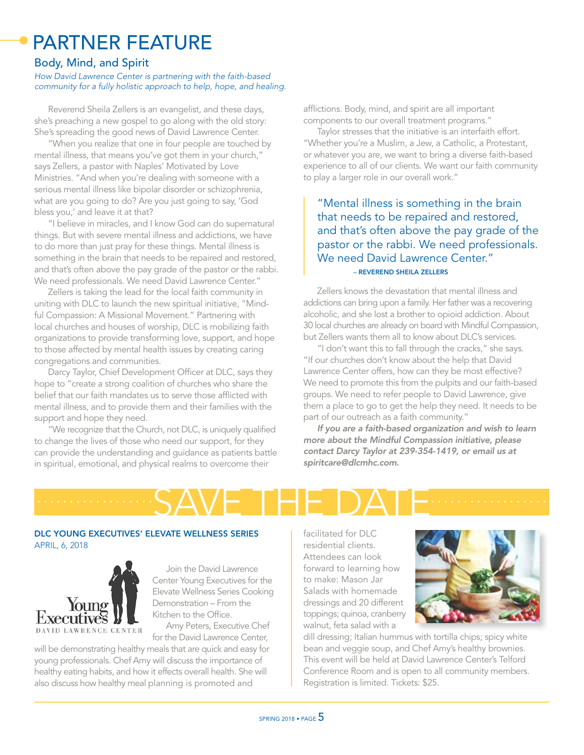## PARTNER FEATURE

### Body, Mind, and Spirit

#### *How David Lawrence Center is partnering with the faith-based community for a fully holistic approach to help, hope, and healing.*

Reverend Sheila Zellers is an evangelist, and these days, she's preaching a new gospel to go along with the old story: She's spreading the good news of David Lawrence Center.

"When you realize that one in four people are touched by mental illness, that means you've got them in your church," says Zellers, a pastor with Naples' Motivated by Love Ministries. "And when you're dealing with someone with a serious mental illness like bipolar disorder or schizophrenia, what are you going to do? Are you just going to say, 'God bless you,' and leave it at that?

"I believe in miracles, and I know God can do supernatural things. But with severe mental illness and addictions, we have to do more than just pray for these things. Mental illness is something in the brain that needs to be repaired and restored, and that's often above the pay grade of the pastor or the rabbi. We need professionals. We need David Lawrence Center."

Zellers is taking the lead for the local faith community in uniting with DLC to launch the new spiritual initiative, "Mindful Compassion: A Missional Movement." Partnering with local churches and houses of worship, DLC is mobilizing faith organizations to provide transforming love, support, and hope to those affected by mental health issues by creating caring congregations and communities.

Darcy Taylor, Chief Development Officer at DLC, says they hope to "create a strong coalition of churches who share the belief that our faith mandates us to serve those afflicted with mental illness, and to provide them and their families with the support and hope they need.

"We recognize that the Church, not DLC, is uniquely qualified to change the lives of those who need our support, for they can provide the understanding and guidance as patients battle in spiritual, emotional, and physical realms to overcome their

afflictions. Body, mind, and spirit are all important components to our overall treatment programs."

Taylor stresses that the initiative is an interfaith effort. "Whether you're a Muslim, a Jew, a Catholic, a Protestant, or whatever you are, we want to bring a diverse faith-based experience to all of our clients. We want our faith community to play a larger role in our overall work."

"Mental illness is something in the brain that needs to be repaired and restored, and that's often above the pay grade of the pastor or the rabbi. We need professionals. We need David Lawrence Center." – REVEREND SHEILA ZELLERS

Zellers knows the devastation that mental illness and addictions can bring upon a family. Her father was a recovering alcoholic, and she lost a brother to opioid addiction. About 30 local churches are already on board with Mindful Compassion, but Zellers wants them all to know about DLC's services.

"I don't want this to fall through the cracks," she says. "If our churches don't know about the help that David Lawrence Center offers, how can they be most effective? We need to promote this from the pulpits and our faith-based groups. We need to refer people to David Lawrence, give them a place to go to get the help they need. It needs to be part of our outreach as a faith community."

*If you are a faith-based organization and wish to learn more about the Mindful Compassion initiative, please contact Darcy Taylor at 239-354-1419, or email us at spiritcare@dlcmhc.com.*

SAVE THE DATE *.................. ..................*

### DLC YOUNG EXECUTIVES' ELEVATE WELLNESS SERIES APRIL, 6, 2018



Join the David Lawrence Center Young Executives for the Elevate Wellness Series Cooking Demonstration – From the Kitchen to the Office. Amy Peters, Executive Chef

for the David Lawrence Center,

will be demonstrating healthy meals that are quick and easy for young professionals. Chef Amy will discuss the importance of healthy eating habits, and how it effects overall health. She will also discuss how healthy meal planning is promoted and

facilitated for DLC residential clients. Attendees can look forward to learning how to make: Mason Jar Salads with homemade dressings and 20 different toppings; quinoa, cranberry walnut, feta salad with a



dill dressing; Italian hummus with tortilla chips; spicy white bean and veggie soup, and Chef Amy's healthy brownies. This event will be held at David Lawrence Center's Telford Conference Room and is open to all community members. Registration is limited. Tickets: \$25.